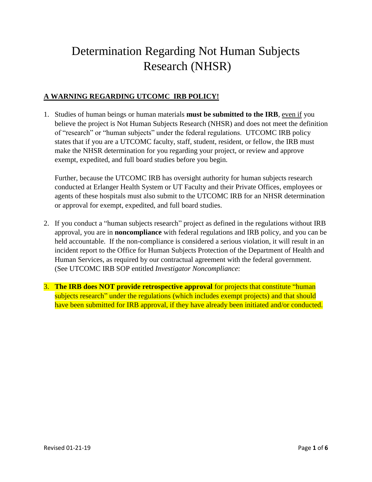# Determination Regarding Not Human Subjects Research (NHSR)

### **A WARNING REGARDING UTCOMC IRB POLICY!**

1. Studies of human beings or human materials **must be submitted to the IRB**, even if you believe the project is Not Human Subjects Research (NHSR) and does not meet the definition of "research" or "human subjects" under the federal regulations. UTCOMC IRB policy states that if you are a UTCOMC faculty, staff, student, resident, or fellow, the IRB must make the NHSR determination for you regarding your project, or review and approve exempt, expedited, and full board studies before you begin.

Further, because the UTCOMC IRB has oversight authority for human subjects research conducted at Erlanger Health System or UT Faculty and their Private Offices, employees or agents of these hospitals must also submit to the UTCOMC IRB for an NHSR determination or approval for exempt, expedited, and full board studies.

- 2. If you conduct a "human subjects research" project as defined in the regulations without IRB approval, you are in **noncompliance** with federal regulations and IRB policy, and you can be held accountable. If the non-compliance is considered a serious violation, it will result in an incident report to the Office for Human Subjects Protection of the Department of Health and Human Services, as required by our contractual agreement with the federal government. (See UTCOMC IRB SOP entitled *Investigator Noncompliance*:
- 3. **The IRB does NOT provide retrospective approval** for projects that constitute "human subjects research" under the regulations (which includes exempt projects) and that should have been submitted for IRB approval, if they have already been initiated and/or conducted.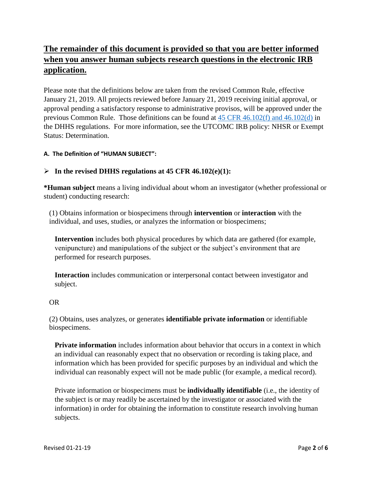# **The remainder of this document is provided so that you are better informed when you answer human subjects research questions in the electronic IRB application.**

Please note that the definitions below are taken from the revised Common Rule, effective January 21, 2019. All projects reviewed before January 21, 2019 receiving initial approval, or approval pending a satisfactory response to administrative provisos, will be approved under the previous Common Rule. Those definitions can be found at [45 CFR 46.102\(f\) and 46.102\(d\)](https://www.gpo.gov/fdsys/pkg/CFR-2016-title45-vol1/pdf/CFR-2016-title45-vol1-part46.pdf) in the DHHS regulations. For more information, see the UTCOMC IRB policy: NHSR or Exempt Status: Determination.

#### **A. The Definition of "HUMAN SUBJECT":**

#### **In the revised DHHS regulations at 45 CFR 46.102(e)(1):**

**\*Human subject** means a living individual about whom an investigator (whether professional or student) conducting research:

(1) Obtains information or biospecimens through **intervention** or **interaction** with the individual, and uses, studies, or analyzes the information or biospecimens;

**Intervention** includes both physical procedures by which data are gathered (for example, venipuncture) and manipulations of the subject or the subject's environment that are performed for research purposes.

**Interaction** includes communication or interpersonal contact between investigator and subject.

#### OR

(2) Obtains, uses analyzes, or generates **identifiable private information** or identifiable biospecimens.

**Private information** includes information about behavior that occurs in a context in which an individual can reasonably expect that no observation or recording is taking place, and information which has been provided for specific purposes by an individual and which the individual can reasonably expect will not be made public (for example, a medical record).

Private information or biospecimens must be **individually identifiable** (i.e., the identity of the subject is or may readily be ascertained by the investigator or associated with the information) in order for obtaining the information to constitute research involving human subjects.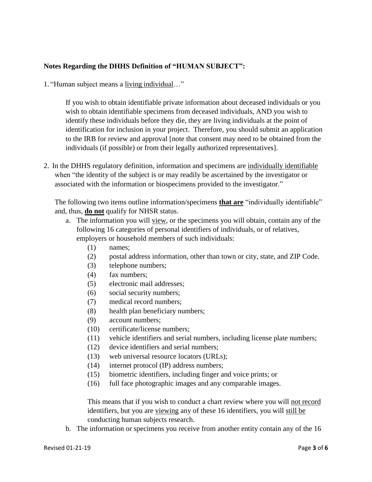#### **Notes Regarding the DHHS Definition of "HUMAN SUBJECT":**

1. "Human subject means a living individual…"

If you wish to obtain identifiable private information about deceased individuals or you wish to obtain identifiable specimens from deceased individuals, AND you wish to identify these individuals before they die, they are living individuals at the point of identification for inclusion in your project. Therefore, you should submit an application to the IRB for review and approval [note that consent may need to be obtained from the individuals (if possible) or from their legally authorized representatives].

2. In the DHHS regulatory definition, information and specimens are individually identifiable when "the identity of the subject is or may readily be ascertained by the investigator or associated with the information or biospecimens provided to the investigator."

The following two items outline information/specimens **that are** "individually identifiable" and, thus, **do not** qualify for NHSR status.

- a. The information you will view, or the specimens you will obtain, contain any of the following 16 categories of personal identifiers of individuals, or of relatives, employers or household members of such individuals:
	- (1) names;
	- (2) postal address information, other than town or city, state, and ZIP Code.
	- (3) telephone numbers;
	- (4) fax numbers;
	- (5) electronic mail addresses;
	- (6) social security numbers;
	- (7) medical record numbers;
	- (8) health plan beneficiary numbers;
	- (9) account numbers;
	- (10) certificate/license numbers;
	- (11) vehicle identifiers and serial numbers, including license plate numbers;
	- (12) device identifiers and serial numbers;
	- (13) web universal resource locators (URLs);
	- (14) internet protocol (IP) address numbers;
	- (15) biometric identifiers, including finger and voice prints; or
	- (16) full face photographic images and any comparable images.

This means that if you wish to conduct a chart review where you will not record identifiers, but you are viewing any of these 16 identifiers, you will still be conducting human subjects research.

b. The information or specimens you receive from another entity contain any of the 16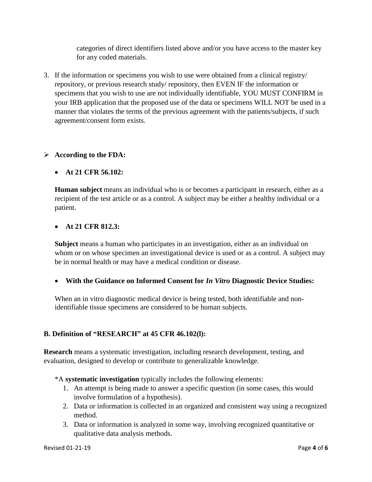categories of direct identifiers listed above and/or you have access to the master key for any coded materials.

3. If the information or specimens you wish to use were obtained from a clinical registry/ repository, or previous research study/ repository, then EVEN IF the information or specimens that you wish to use are not individually identifiable, YOU MUST CONFIRM in your IRB application that the proposed use of the data or specimens WILL NOT be used in a manner that violates the terms of the previous agreement with the patients/subjects, if such agreement/consent form exists.

#### **According to the FDA:**

#### **At 21 CFR 56.102:**

**Human subject** means an individual who is or becomes a participant in research, either as a recipient of the test article or as a control. A subject may be either a healthy individual or a patient.

#### **At 21 CFR 812.3:**

**Subject** means a human who participates in an investigation, either as an individual on whom or on whose specimen an investigational device is used or as a control. A subject may be in normal health or may have a medical condition or disease.

**With the Guidance on Informed Consent for** *In Vitro* **Diagnostic Device Studies:**

When an in vitro diagnostic medical device is being tested, both identifiable and nonidentifiable tissue specimens are considered to be human subjects.

#### **B. Definition of "RESEARCH" at 45 CFR 46.102(l):**

**Research** means a systematic investigation, including research development, testing, and evaluation, designed to develop or contribute to generalizable knowledge.

\*A **systematic investigation** typically includes the following elements:

- 1. An attempt is being made to answer a specific question (in some cases, this would involve formulation of a hypothesis).
- 2. Data or information is collected in an organized and consistent way using a recognized method.
- 3. Data or information is analyzed in some way, involving recognized quantitative or qualitative data analysis methods.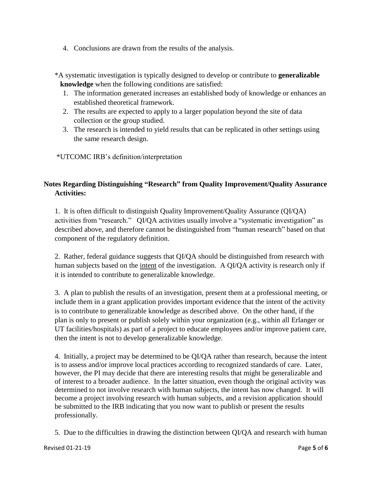4. Conclusions are drawn from the results of the analysis.

\*A systematic investigation is typically designed to develop or contribute to **generalizable knowledge** when the following conditions are satisfied:

- 1. The information generated increases an established body of knowledge or enhances an established theoretical framework.
- 2. The results are expected to apply to a larger population beyond the site of data collection or the group studied.
- 3. The research is intended to yield results that can be replicated in other settings using the same research design.

\*UTCOMC IRB's definition/interpretation

## **Notes Regarding Distinguishing "Research" from Quality Improvement/Quality Assurance Activities:**

1. It is often difficult to distinguish Quality Improvement/Quality Assurance (QI/QA) activities from "research." QI/QA activities usually involve a "systematic investigation" as described above, and therefore cannot be distinguished from "human research" based on that component of the regulatory definition.

2. Rather, federal guidance suggests that QI/QA should be distinguished from research with human subjects based on the intent of the investigation. A QI/QA activity is research only if it is intended to contribute to generalizable knowledge.

3. A plan to publish the results of an investigation, present them at a professional meeting, or include them in a grant application provides important evidence that the intent of the activity is to contribute to generalizable knowledge as described above. On the other hand, if the plan is only to present or publish solely within your organization (e.g., within all Erlanger or UT facilities/hospitals) as part of a project to educate employees and/or improve patient care, then the intent is not to develop generalizable knowledge.

4. Initially, a project may be determined to be QI/QA rather than research, because the intent is to assess and/or improve local practices according to recognized standards of care. Later, however, the PI may decide that there are interesting results that might be generalizable and of interest to a broader audience. In the latter situation, even though the original activity was determined to not involve research with human subjects, the intent has now changed. It will become a project involving research with human subjects, and a revision application should be submitted to the IRB indicating that you now want to publish or present the results professionally.

5. Due to the difficulties in drawing the distinction between QI/QA and research with human